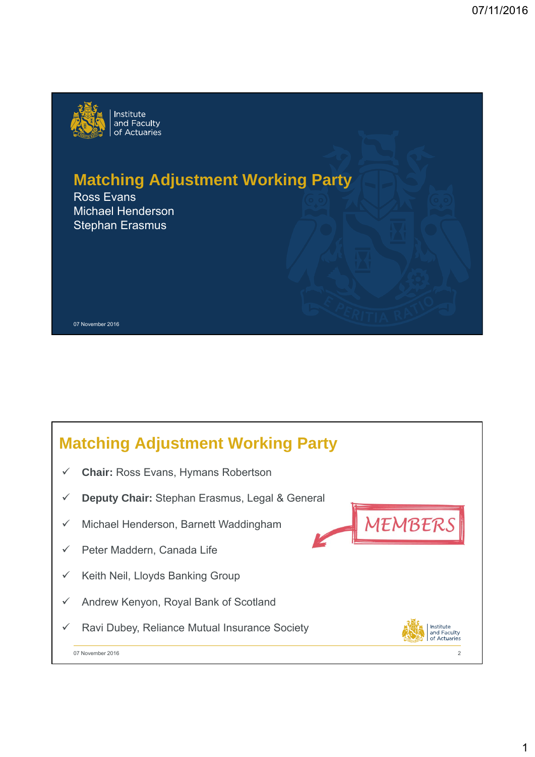

# **Matching Adjustment Working Party**

Ross Evans Michael Henderson Stephan Erasmus

#### 07 November 2016

## **Matching Adjustment Working Party**

- **Chair:** Ross Evans, Hymans Robertson
- **Deputy Chair:** Stephan Erasmus, Legal & General
- $\checkmark$  Michael Henderson, Barnett Waddingham
- $\checkmark$  Peter Maddern, Canada Life
- $\checkmark$  Keith Neil, Lloyds Banking Group
- Andrew Kenyon, Royal Bank of Scotland
- $\checkmark$  Ravi Dubey, Reliance Mutual Insurance Society



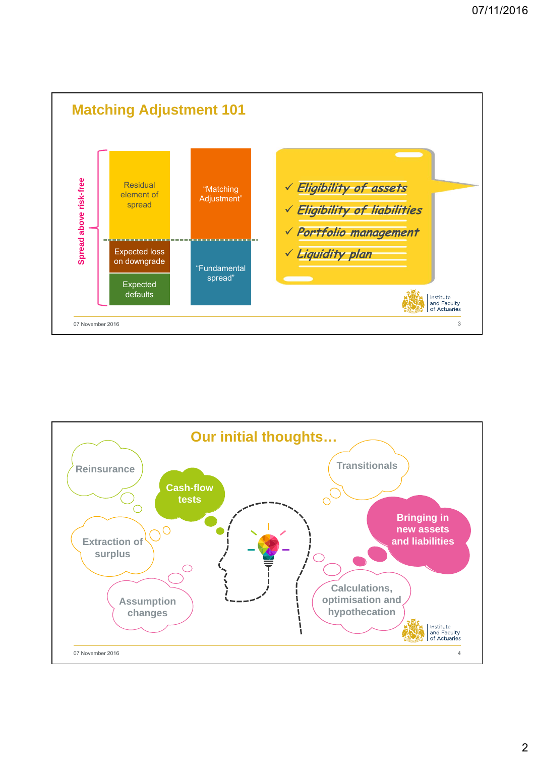

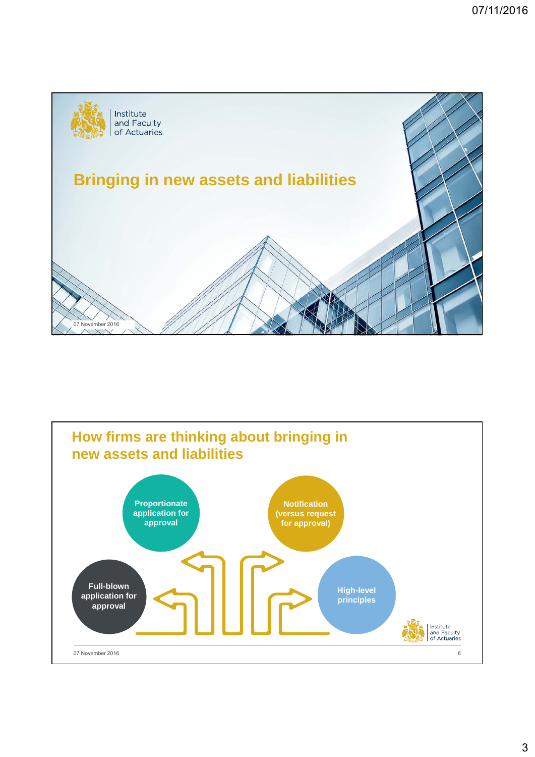

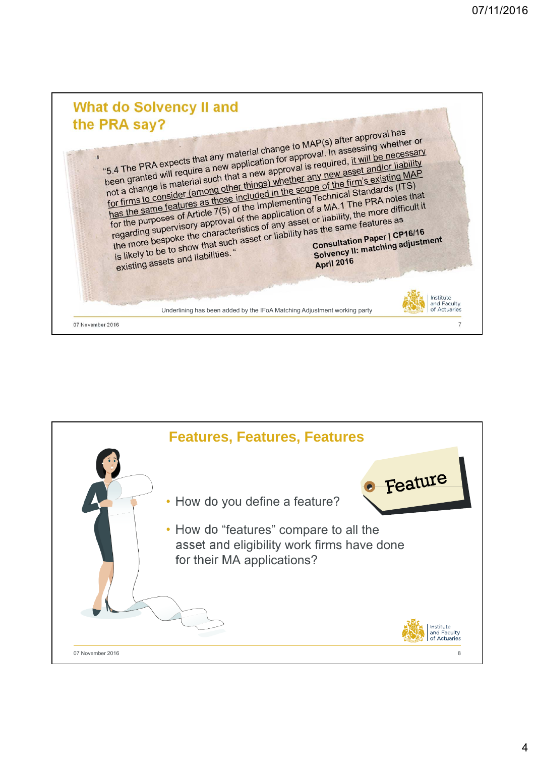

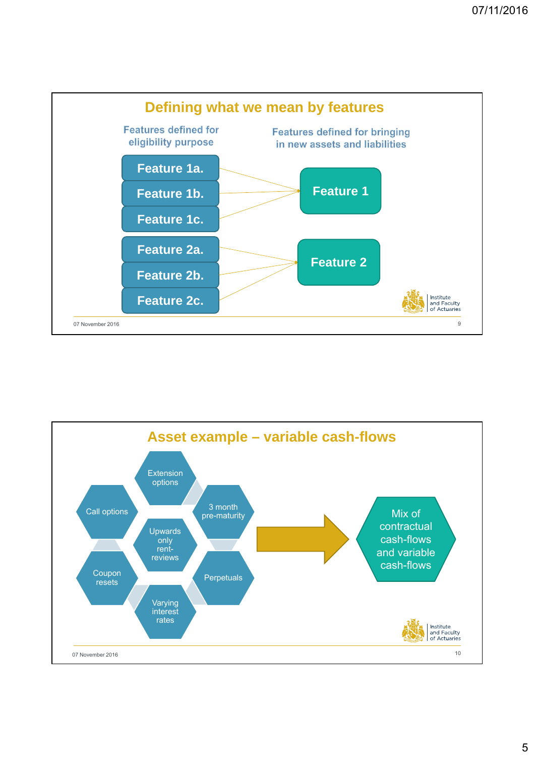

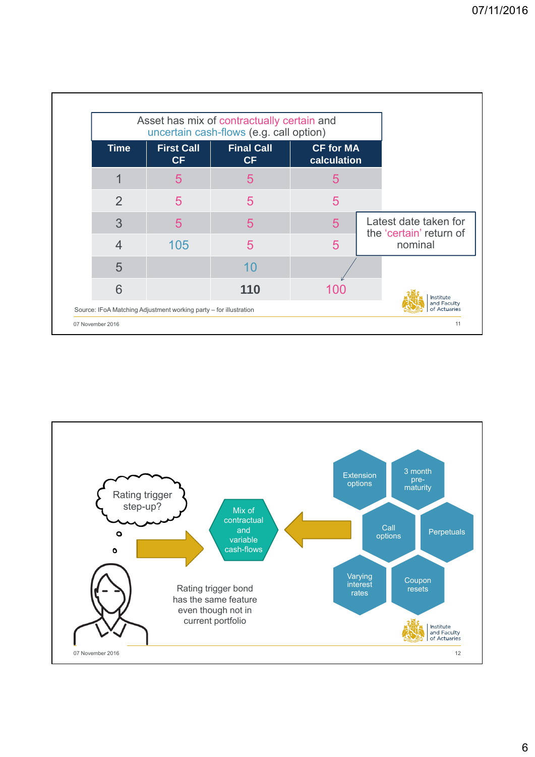|                                                  |                                                                   |     | Asset has mix of contractually certain and<br>uncertain cash-flows (e.g. call option) |                                |                |  |
|--------------------------------------------------|-------------------------------------------------------------------|-----|---------------------------------------------------------------------------------------|--------------------------------|----------------|--|
|                                                  | <b>CF for MA</b><br>calculation                                   |     | <b>Final Call</b><br><b>CF</b>                                                        | <b>First Call</b><br><b>CF</b> | <b>Time</b>    |  |
|                                                  |                                                                   | 5   | 5                                                                                     | 5                              |                |  |
|                                                  |                                                                   | 5   | 5                                                                                     | 5                              | $\overline{2}$ |  |
| Latest date taken for<br>the 'certain' return of |                                                                   | 5   | 5                                                                                     | 5                              | 3              |  |
| nominal                                          |                                                                   |     | 5                                                                                     | 105                            | 4              |  |
|                                                  |                                                                   |     | 10                                                                                    |                                | 5              |  |
| Institute                                        |                                                                   | 100 | 110                                                                                   |                                | 6              |  |
| and Faculty<br>of Actuaries                      | Source: IFoA Matching Adjustment working party - for illustration |     |                                                                                       |                                |                |  |

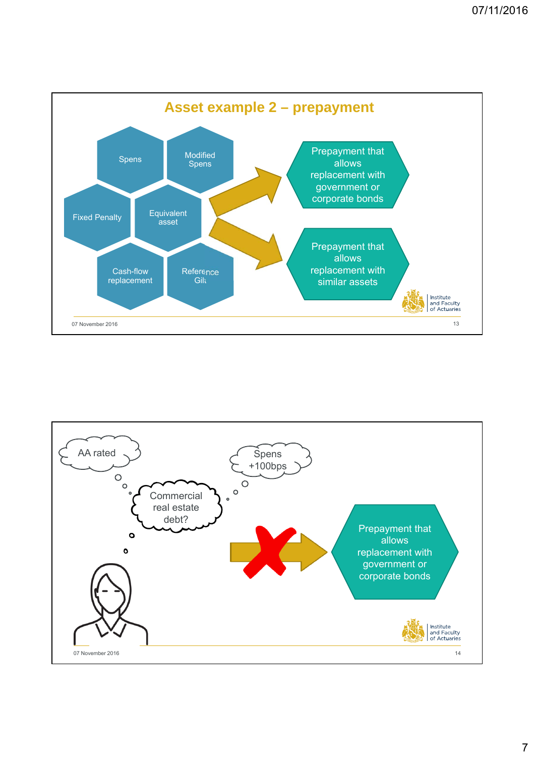

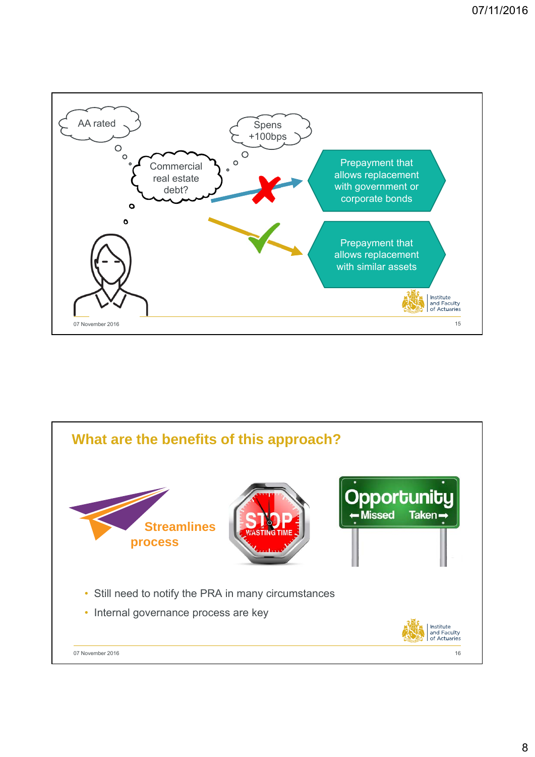

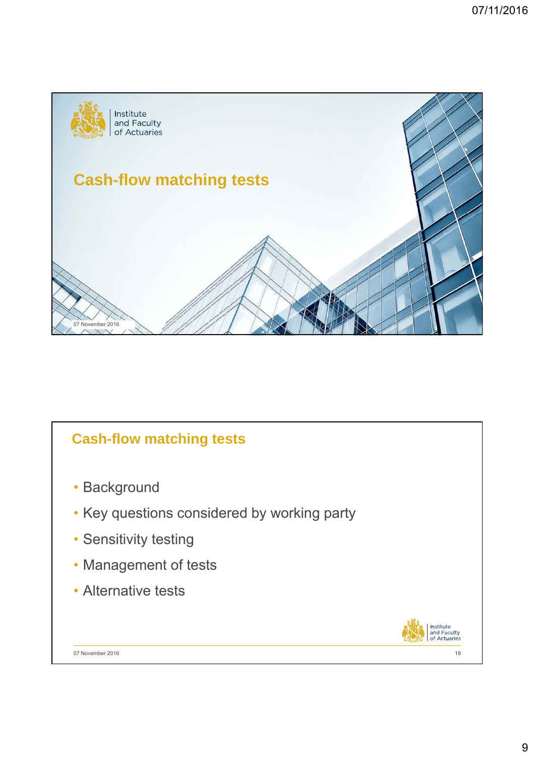

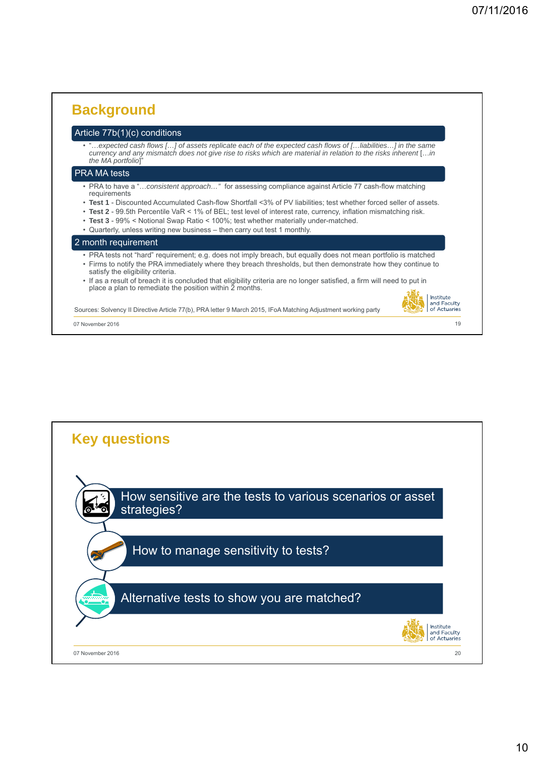#### **Background** Article 77b(1)(c) conditions • "…*expected cash flows […] of assets replicate each of the expected cash flows of […liabilities…] in the same currency and any mismatch does not give rise to risks which are material in relation to the risks inherent* […*in*  the MA portfolio] PRA MA tests • PRA to have a "…*consistent approach…"* for assessing compliance against Article 77 cash-flow matching requirements • **Test 1** - Discounted Accumulated Cash-flow Shortfall <3% of PV liabilities; test whether forced seller of assets. • **Test 2** - 99.5th Percentile VaR < 1% of BEL; test level of interest rate, currency, inflation mismatching risk. • **Test 3** - 99% < Notional Swap Ratio < 100%; test whether materially under-matched. • Quarterly, unless writing new business – then carry out test 1 monthly. 2 month requirement • PRA tests not "hard" requirement; e.g. does not imply breach, but equally does not mean portfolio is matched • Firms to notify the PRA immediately where they breach thresholds, but then demonstrate how they continue to satisfy the eligibility criteria. • If as a result of breach it is concluded that eligibility criteria are no longer satisfied, a firm will need to put in place a plan to remediate the position within 2 months. Institute<br>and Faculty<br>of Actuaries Sources: Solvency II Directive Article 77(b), PRA letter 9 March 2015, IFoA Matching Adjustment working party 07 November 2016 19

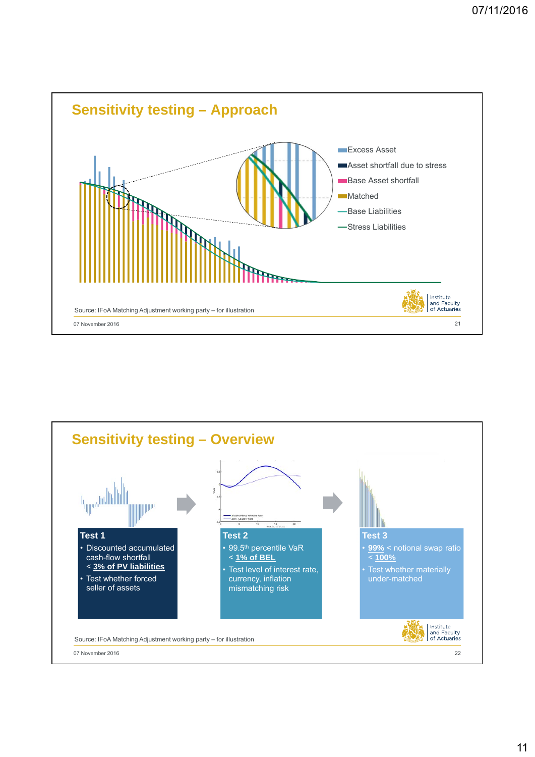

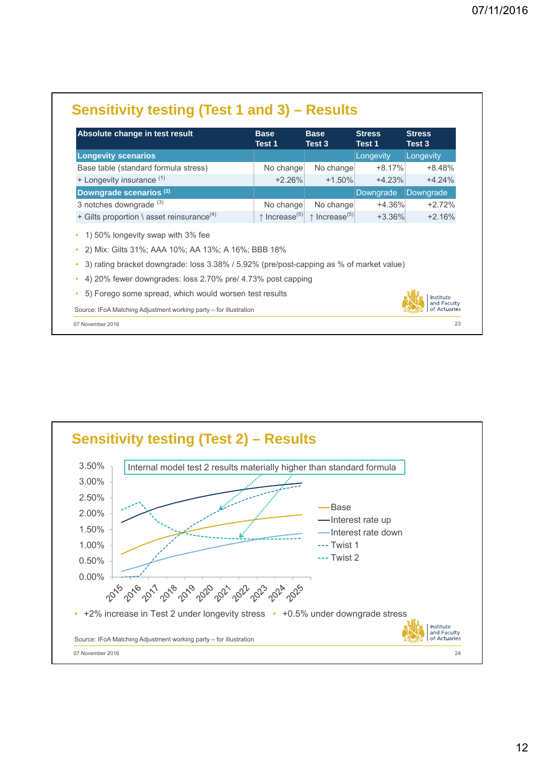| Absolute change in test result                                                                                                   | <b>Base</b><br>Test 1              | <b>Base</b><br>Test 3              | <b>Stress</b><br>Test 1 | <b>Stress</b><br>Test 3                  |
|----------------------------------------------------------------------------------------------------------------------------------|------------------------------------|------------------------------------|-------------------------|------------------------------------------|
| <b>Longevity scenarios</b>                                                                                                       |                                    |                                    | Longevity               | Longevity                                |
| Base table (standard formula stress)                                                                                             | No change                          | No change                          | $+8.17%$                | $+8.48%$                                 |
| + Longevity insurance (1)                                                                                                        | $+2.26%$                           | $+1.50\%$                          | $+4.23%$                | $+4.24%$                                 |
| Downgrade scenarios (2)                                                                                                          |                                    |                                    | Downgrade               | Downgrade                                |
| 3 notches downgrade $(3)$                                                                                                        | No change                          | No change                          | $+4.36%$                | $+2.72%$                                 |
| + Gilts proportion \ asset reinsurance <sup>(4)</sup>                                                                            | $\uparrow$ Increase <sup>(5)</sup> | $\uparrow$ Increase <sup>(5)</sup> | $+3.36\%$               | $+2.16%$                                 |
| 1) 50% longevity swap with 3% fee<br>$\bullet$<br>2) Mix: Gilts 31%; AAA 10%; AA 13%; A 16%; BBB 18%<br>$\bullet$                |                                    |                                    |                         |                                          |
| 3) rating bracket downgrade: loss 3.38% / 5.92% (pre/post-capping as % of market value)                                          |                                    |                                    |                         |                                          |
| 4) 20% fewer downgrades: loss 2.70% pre/ 4.73% post capping<br>$\bullet$                                                         |                                    |                                    |                         |                                          |
| 5) Forego some spread, which would worsen test results<br>٠<br>Source: IFoA Matching Adjustment working party – for illustration |                                    |                                    |                         | Institute<br>and Faculty<br>of Actuaries |



### 12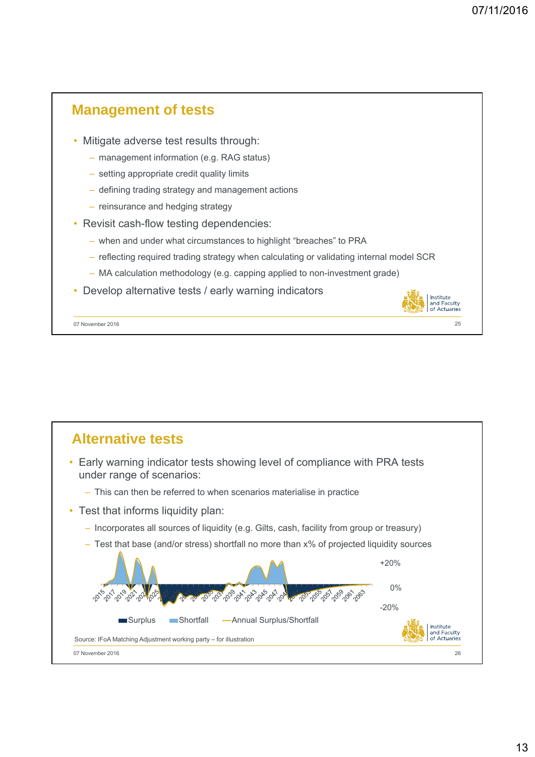

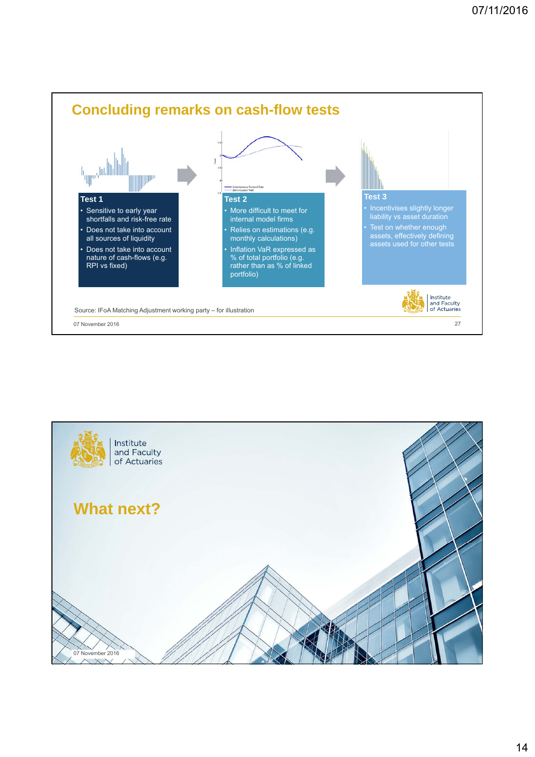